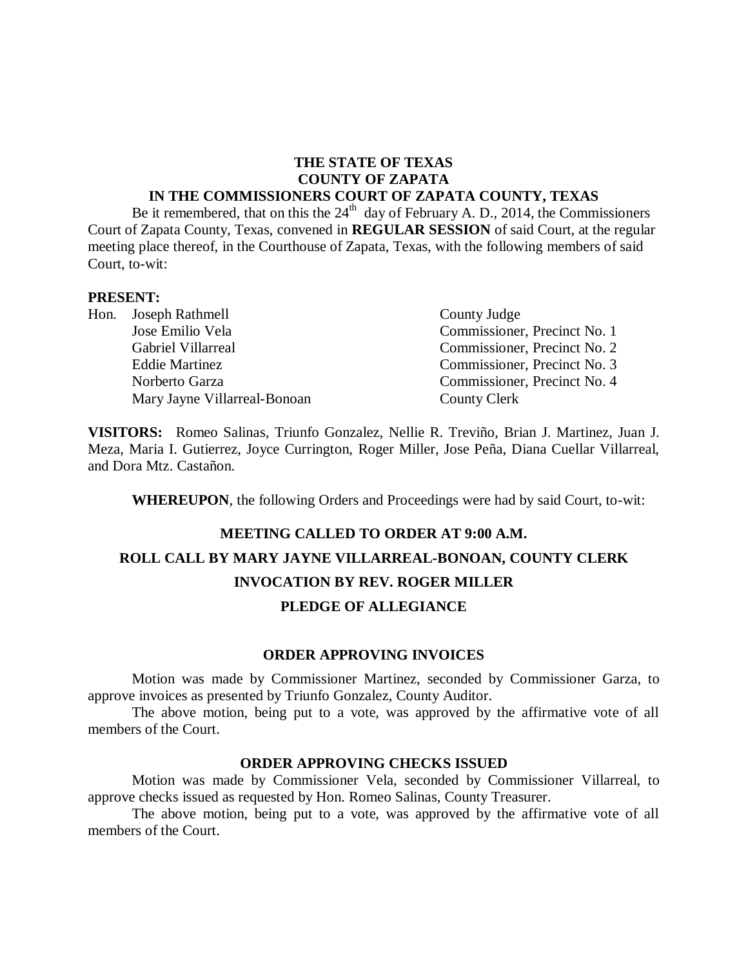# **THE STATE OF TEXAS COUNTY OF ZAPATA**

#### **IN THE COMMISSIONERS COURT OF ZAPATA COUNTY, TEXAS**

Be it remembered, that on this the  $24<sup>th</sup>$  day of February A. D., 2014, the Commissioners Court of Zapata County, Texas, convened in **REGULAR SESSION** of said Court, at the regular meeting place thereof, in the Courthouse of Zapata, Texas, with the following members of said Court, to-wit:

#### **PRESENT:**

Hon. Joseph Rathmell County Judge Mary Jayne Villarreal-Bonoan County Clerk

Jose Emilio Vela Commissioner, Precinct No. 1 Gabriel Villarreal Commissioner, Precinct No. 2 Eddie Martinez Commissioner, Precinct No. 3 Norberto Garza Commissioner, Precinct No. 4

**VISITORS:** Romeo Salinas, Triunfo Gonzalez, Nellie R. Treviño, Brian J. Martinez, Juan J. Meza, Maria I. Gutierrez, Joyce Currington, Roger Miller, Jose Peña, Diana Cuellar Villarreal, and Dora Mtz. Castañon.

**WHEREUPON**, the following Orders and Proceedings were had by said Court, to-wit:

# **MEETING CALLED TO ORDER AT 9:00 A.M. ROLL CALL BY MARY JAYNE VILLARREAL-BONOAN, COUNTY CLERK INVOCATION BY REV. ROGER MILLER PLEDGE OF ALLEGIANCE**

#### **ORDER APPROVING INVOICES**

Motion was made by Commissioner Martinez, seconded by Commissioner Garza, to approve invoices as presented by Triunfo Gonzalez, County Auditor.

The above motion, being put to a vote, was approved by the affirmative vote of all members of the Court.

#### **ORDER APPROVING CHECKS ISSUED**

Motion was made by Commissioner Vela, seconded by Commissioner Villarreal, to approve checks issued as requested by Hon. Romeo Salinas, County Treasurer.

The above motion, being put to a vote, was approved by the affirmative vote of all members of the Court.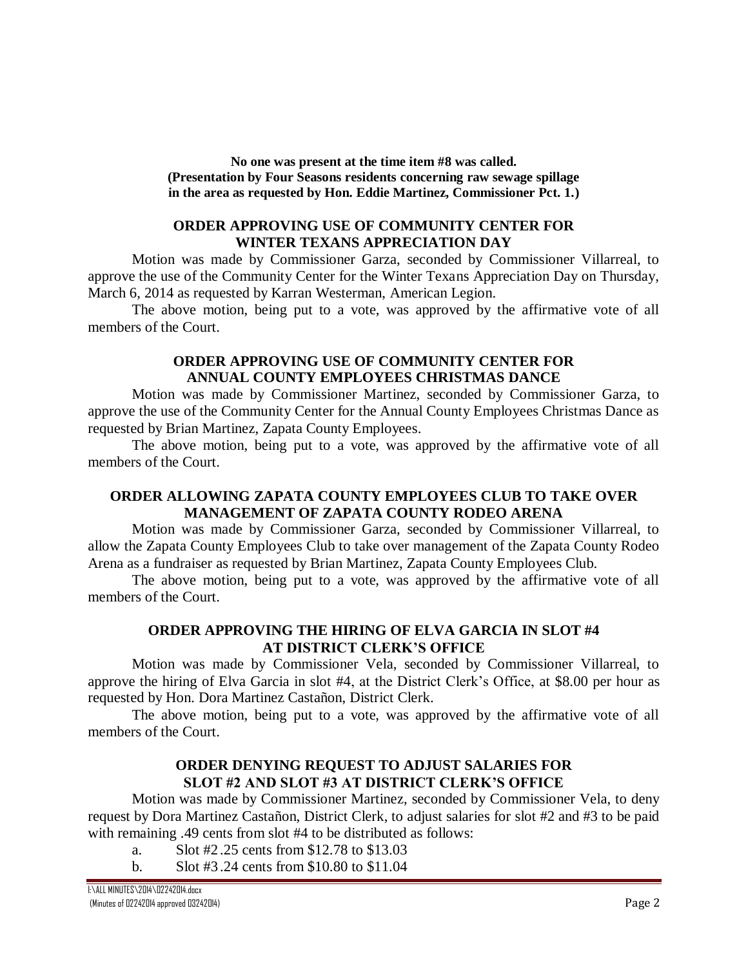**No one was present at the time item #8 was called. (Presentation by Four Seasons residents concerning raw sewage spillage in the area as requested by Hon. Eddie Martinez, Commissioner Pct. 1.)**

# **ORDER APPROVING USE OF COMMUNITY CENTER FOR WINTER TEXANS APPRECIATION DAY**

Motion was made by Commissioner Garza, seconded by Commissioner Villarreal, to approve the use of the Community Center for the Winter Texans Appreciation Day on Thursday, March 6, 2014 as requested by Karran Westerman, American Legion.

The above motion, being put to a vote, was approved by the affirmative vote of all members of the Court.

# **ORDER APPROVING USE OF COMMUNITY CENTER FOR ANNUAL COUNTY EMPLOYEES CHRISTMAS DANCE**

Motion was made by Commissioner Martinez, seconded by Commissioner Garza, to approve the use of the Community Center for the Annual County Employees Christmas Dance as requested by Brian Martinez, Zapata County Employees.

The above motion, being put to a vote, was approved by the affirmative vote of all members of the Court.

# **ORDER ALLOWING ZAPATA COUNTY EMPLOYEES CLUB TO TAKE OVER MANAGEMENT OF ZAPATA COUNTY RODEO ARENA**

Motion was made by Commissioner Garza, seconded by Commissioner Villarreal, to allow the Zapata County Employees Club to take over management of the Zapata County Rodeo Arena as a fundraiser as requested by Brian Martinez, Zapata County Employees Club.

The above motion, being put to a vote, was approved by the affirmative vote of all members of the Court.

# **ORDER APPROVING THE HIRING OF ELVA GARCIA IN SLOT #4 AT DISTRICT CLERK'S OFFICE**

Motion was made by Commissioner Vela, seconded by Commissioner Villarreal, to approve the hiring of Elva Garcia in slot #4, at the District Clerk's Office, at \$8.00 per hour as requested by Hon. Dora Martinez Castañon, District Clerk.

The above motion, being put to a vote, was approved by the affirmative vote of all members of the Court.

# **ORDER DENYING REQUEST TO ADJUST SALARIES FOR SLOT #2 AND SLOT #3 AT DISTRICT CLERK'S OFFICE**

Motion was made by Commissioner Martinez, seconded by Commissioner Vela, to deny request by Dora Martinez Castañon, District Clerk, to adjust salaries for slot #2 and #3 to be paid with remaining .49 cents from slot #4 to be distributed as follows:

- a. Slot #2.25 cents from \$12.78 to \$13.03
- b. Slot #3.24 cents from \$10.80 to \$11.04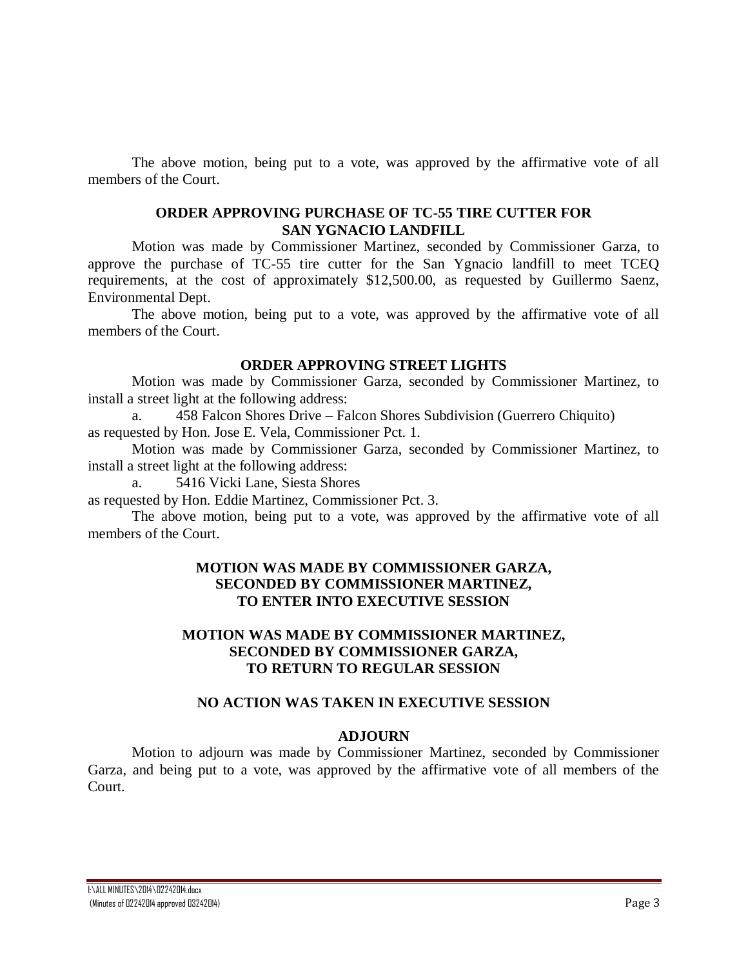The above motion, being put to a vote, was approved by the affirmative vote of all members of the Court.

### **ORDER APPROVING PURCHASE OF TC-55 TIRE CUTTER FOR SAN YGNACIO LANDFILL**

Motion was made by Commissioner Martinez, seconded by Commissioner Garza, to approve the purchase of TC-55 tire cutter for the San Ygnacio landfill to meet TCEQ requirements, at the cost of approximately \$12,500.00, as requested by Guillermo Saenz, Environmental Dept.

The above motion, being put to a vote, was approved by the affirmative vote of all members of the Court.

### **ORDER APPROVING STREET LIGHTS**

Motion was made by Commissioner Garza, seconded by Commissioner Martinez, to install a street light at the following address:

a. 458 Falcon Shores Drive – Falcon Shores Subdivision (Guerrero Chiquito) as requested by Hon. Jose E. Vela, Commissioner Pct. 1.

Motion was made by Commissioner Garza, seconded by Commissioner Martinez, to install a street light at the following address:

5416 Vicki Lane, Siesta Shores

as requested by Hon. Eddie Martinez, Commissioner Pct. 3.

The above motion, being put to a vote, was approved by the affirmative vote of all members of the Court.

# **MOTION WAS MADE BY COMMISSIONER GARZA, SECONDED BY COMMISSIONER MARTINEZ, TO ENTER INTO EXECUTIVE SESSION**

# **MOTION WAS MADE BY COMMISSIONER MARTINEZ, SECONDED BY COMMISSIONER GARZA, TO RETURN TO REGULAR SESSION**

### **NO ACTION WAS TAKEN IN EXECUTIVE SESSION**

### **ADJOURN**

Motion to adjourn was made by Commissioner Martinez, seconded by Commissioner Garza, and being put to a vote, was approved by the affirmative vote of all members of the Court.